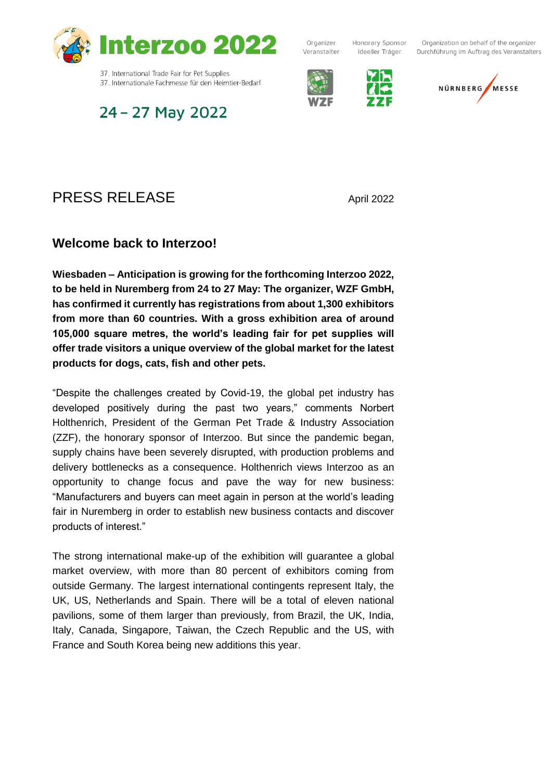

37. International Trade Fair for Pet Supplies 37. Internationale Fachmesse für den Heimtier-Bedarf

24 - 27 May 2022

Organizer Veranstalter

Honorary Sponsor Ideeller Träger





# PRESS RELEASE April 2022

# **Welcome back to Interzoo!**

**Wiesbaden – Anticipation is growing for the forthcoming Interzoo 2022, to be held in Nuremberg from 24 to 27 May: The organizer, WZF GmbH, has confirmed it currently has registrations from about 1,300 exhibitors from more than 60 countries. With a gross exhibition area of around 105,000 square metres, the world's leading fair for pet supplies will offer trade visitors a unique overview of the global market for the latest products for dogs, cats, fish and other pets.**

"Despite the challenges created by Covid-19, the global pet industry has developed positively during the past two years," comments Norbert Holthenrich, President of the German Pet Trade & Industry Association (ZZF), the honorary sponsor of Interzoo. But since the pandemic began, supply chains have been severely disrupted, with production problems and delivery bottlenecks as a consequence. Holthenrich views Interzoo as an opportunity to change focus and pave the way for new business: "Manufacturers and buyers can meet again in person at the world's leading fair in Nuremberg in order to establish new business contacts and discover products of interest."

The strong international make-up of the exhibition will guarantee a global market overview, with more than 80 percent of exhibitors coming from outside Germany. The largest international contingents represent Italy, the UK, US, Netherlands and Spain. There will be a total of eleven national pavilions, some of them larger than previously, from Brazil, the UK, India, Italy, Canada, Singapore, Taiwan, the Czech Republic and the US, with France and South Korea being new additions this year.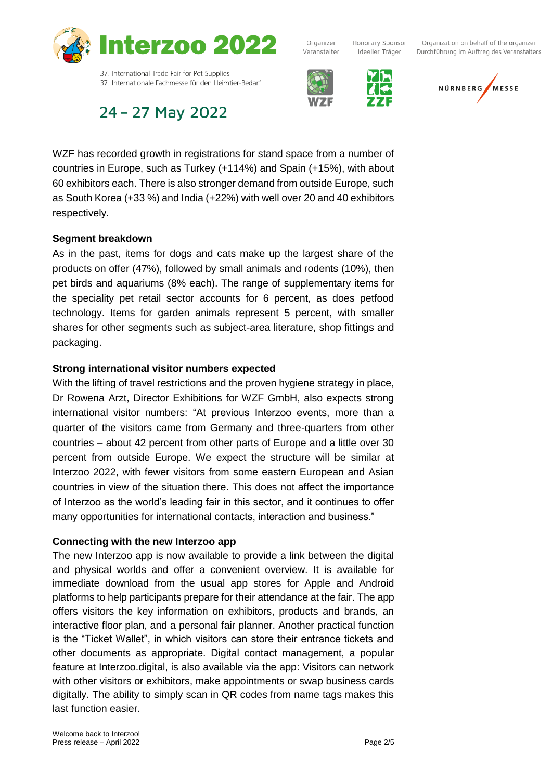

Organizer Veranstalter

Honorary Sponsor Organization on behalf of the organizer Ideeller Träger Durchführung im Auftrag des Veranstalters



NÜRNBERG MESSE

24 - 27 May 2022

37. Internationale Fachmesse für den Heimtier-Bedarf

WZF has recorded growth in registrations for stand space from a number of countries in Europe, such as Turkey (+114%) and Spain (+15%), with about 60 exhibitors each. There is also stronger demand from outside Europe, such as South Korea (+33 %) and India (+22%) with well over 20 and 40 exhibitors respectively.

### **Segment breakdown**

As in the past, items for dogs and cats make up the largest share of the products on offer (47%), followed by small animals and rodents (10%), then pet birds and aquariums (8% each). The range of supplementary items for the speciality pet retail sector accounts for 6 percent, as does petfood technology. Items for garden animals represent 5 percent, with smaller shares for other segments such as subject-area literature, shop fittings and packaging.

### **Strong international visitor numbers expected**

With the lifting of travel restrictions and the proven hygiene strategy in place, Dr Rowena Arzt, Director Exhibitions for WZF GmbH, also expects strong international visitor numbers: "At previous Interzoo events, more than a quarter of the visitors came from Germany and three-quarters from other countries – about 42 percent from other parts of Europe and a little over 30 percent from outside Europe. We expect the structure will be similar at Interzoo 2022, with fewer visitors from some eastern European and Asian countries in view of the situation there. This does not affect the importance of Interzoo as the world's leading fair in this sector, and it continues to offer many opportunities for international contacts, interaction and business."

# **Connecting with the new Interzoo app**

The new Interzoo app is now available to provide a link between the digital and physical worlds and offer a convenient overview. It is available for immediate download from the usual app stores for Apple and Android platforms to help participants prepare for their attendance at the fair. The app offers visitors the key information on exhibitors, products and brands, an interactive floor plan, and a personal fair planner. Another practical function is the "Ticket Wallet", in which visitors can store their entrance tickets and other documents as appropriate. Digital contact management, a popular feature at Interzoo.digital, is also available via the app: Visitors can network with other visitors or exhibitors, make appointments or swap business cards digitally. The ability to simply scan in QR codes from name tags makes this last function easier.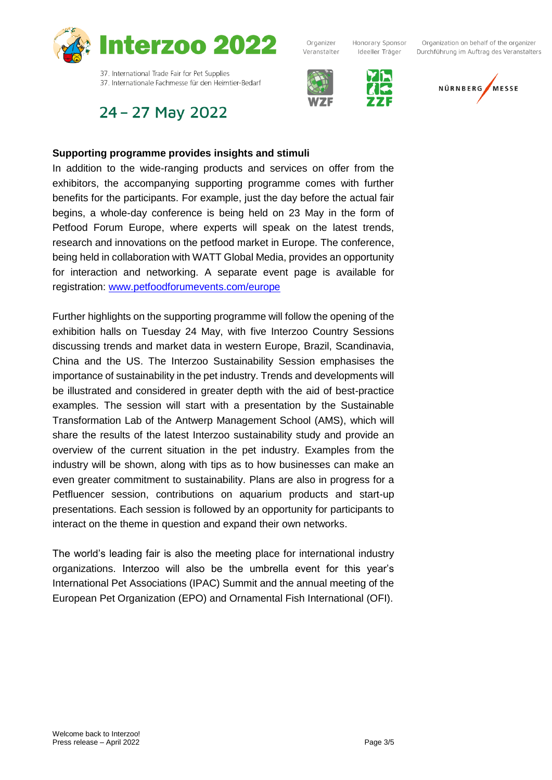

# 24 - 27 May 2022



Organizer



Honorary Sponsor

Ideeller Träger

Organization on behalf of the organizer Durchführung im Auftrag des Veranstalters



#### **Supporting programme provides insights and stimuli**

In addition to the wide-ranging products and services on offer from the exhibitors, the accompanying supporting programme comes with further benefits for the participants. For example, just the day before the actual fair begins, a whole-day conference is being held on 23 May in the form of Petfood Forum Europe, where experts will speak on the latest trends, research and innovations on the petfood market in Europe. The conference, being held in collaboration with WATT Global Media, provides an opportunity for interaction and networking. A separate event page is available for registration: [www.petfoodforumevents.com/europe](http://www.petfoodforumevents.com/europe)

Further highlights on the supporting programme will follow the opening of the exhibition halls on Tuesday 24 May, with five Interzoo Country Sessions discussing trends and market data in western Europe, Brazil, Scandinavia, China and the US. The Interzoo Sustainability Session emphasises the importance of sustainability in the pet industry. Trends and developments will be illustrated and considered in greater depth with the aid of best-practice examples. The session will start with a presentation by the Sustainable Transformation Lab of the Antwerp Management School (AMS), which will share the results of the latest Interzoo sustainability study and provide an overview of the current situation in the pet industry. Examples from the industry will be shown, along with tips as to how businesses can make an even greater commitment to sustainability. Plans are also in progress for a Petfluencer session, contributions on aquarium products and start-up presentations. Each session is followed by an opportunity for participants to interact on the theme in question and expand their own networks.

The world's leading fair is also the meeting place for international industry organizations. Interzoo will also be the umbrella event for this year's International Pet Associations (IPAC) Summit and the annual meeting of the European Pet Organization (EPO) and Ornamental Fish International (OFI).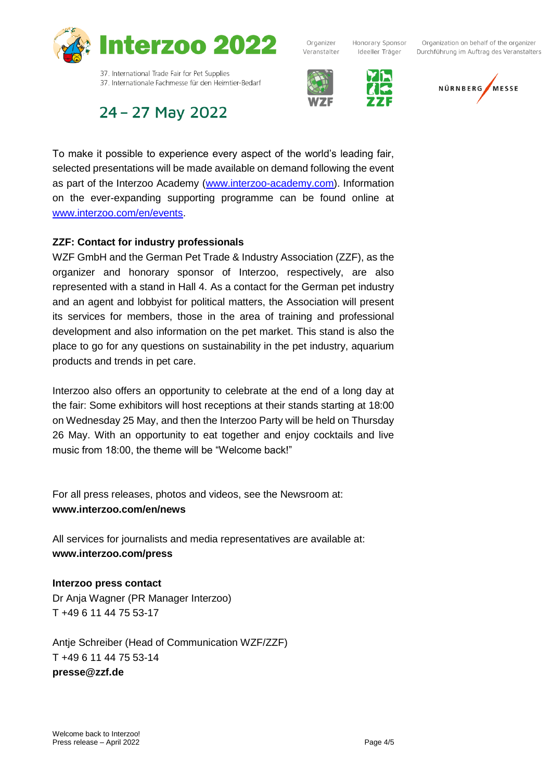

Organizer Veranstalter

Honorary Sponsor Ideeller Träger

Organization on behalf of the organizer Durchführung im Auftrag des Veranstalters





37. Internationale Fachmesse für den Heimtier-Bedarf

# 24 - 27 May 2022

To make it possible to experience every aspect of the world's leading fair, selected presentations will be made available on demand following the event as part of the Interzoo Academy [\(www.interzoo-academy.com\)](http://www.interzoo-academy.com/). Information on the ever-expanding supporting programme can be found online at [www.interzoo.com/en/events.](http://www.interzoo.com/en/events)

### **ZZF: Contact for industry professionals**

WZF GmbH and the German Pet Trade & Industry Association (ZZF), as the organizer and honorary sponsor of Interzoo, respectively, are also represented with a stand in Hall 4. As a contact for the German pet industry and an agent and lobbyist for political matters, the Association will present its services for members, those in the area of training and professional development and also information on the pet market. This stand is also the place to go for any questions on sustainability in the pet industry, aquarium products and trends in pet care.

Interzoo also offers an opportunity to celebrate at the end of a long day at the fair: Some exhibitors will host receptions at their stands starting at 18:00 on Wednesday 25 May, and then the Interzoo Party will be held on Thursday 26 May. With an opportunity to eat together and enjoy cocktails and live music from 18:00, the theme will be "Welcome back!"

For all press releases, photos and videos, see the Newsroom at: **www.interzoo.com/en/news**

All services for journalists and media representatives are available at: **www.interzoo.com/press**

#### **Interzoo press contact**

Dr Anja Wagner (PR Manager Interzoo) T +49 6 11 44 75 53-17

Antje Schreiber (Head of Communication WZF/ZZF) T +49 6 11 44 75 53-14 **presse@zzf.de**